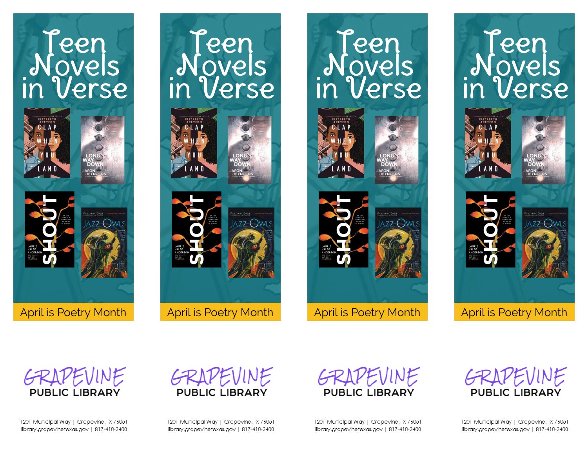









1201 Municipal Way | Grapevine, TX 76051 library.grapevinetexas.gov | 817-410-3400 1201 Municipal Way | Grapevine, TX 76051 library.grapevinetexas.gov | 817-410-3400

GRAVEVINE

**PUBLIC LIBRARY** 

GRAPEVINE **PUBLIC LIBRARY** 

1201 Municipal Way | Grapevine, TX 76051 library.grapevinetexas.gov | 817-410-3400



1201 Municipal Way | Grapevine, TX 76051 library.grapevinetexas.gov | 817-410-3400